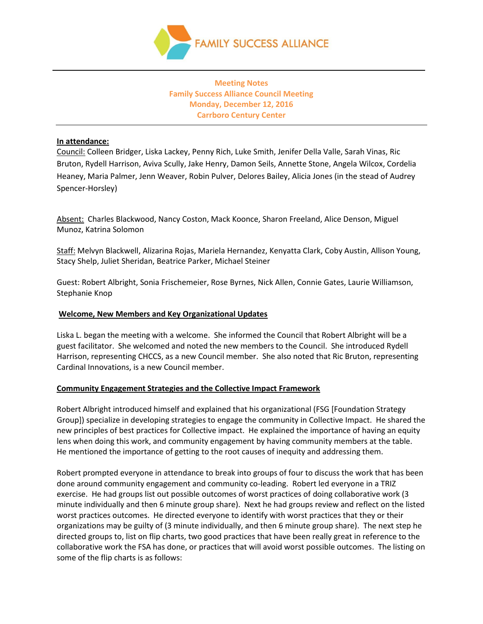

# **Meeting Notes Family Success Alliance Council Meeting Monday, December 12, 2016 Carrboro Century Center**

### **In attendance:**

Council: Colleen Bridger, Liska Lackey, Penny Rich, Luke Smith, Jenifer Della Valle, Sarah Vinas, Ric Bruton, Rydell Harrison, Aviva Scully, Jake Henry, Damon Seils, Annette Stone, Angela Wilcox, Cordelia Heaney, Maria Palmer, Jenn Weaver, Robin Pulver, Delores Bailey, Alicia Jones (in the stead of Audrey Spencer-Horsley)

Absent: Charles Blackwood, Nancy Coston, Mack Koonce, Sharon Freeland, Alice Denson, Miguel Munoz, Katrina Solomon

Staff: Melvyn Blackwell, Alizarina Rojas, Mariela Hernandez, Kenyatta Clark, Coby Austin, Allison Young, Stacy Shelp, Juliet Sheridan, Beatrice Parker, Michael Steiner

Guest: Robert Albright, Sonia Frischemeier, Rose Byrnes, Nick Allen, Connie Gates, Laurie Williamson, Stephanie Knop

### **Welcome, New Members and Key Organizational Updates**

Liska L. began the meeting with a welcome. She informed the Council that Robert Albright will be a guest facilitator. She welcomed and noted the new members to the Council. She introduced Rydell Harrison, representing CHCCS, as a new Council member. She also noted that Ric Bruton, representing Cardinal Innovations, is a new Council member.

#### **Community Engagement Strategies and the Collective Impact Framework**

Robert Albright introduced himself and explained that his organizational (FSG [Foundation Strategy Group]) specialize in developing strategies to engage the community in Collective Impact. He shared the new principles of best practices for Collective impact. He explained the importance of having an equity lens when doing this work, and community engagement by having community members at the table. He mentioned the importance of getting to the root causes of inequity and addressing them.

Robert prompted everyone in attendance to break into groups of four to discuss the work that has been done around community engagement and community co-leading. Robert led everyone in a TRIZ exercise. He had groups list out possible outcomes of worst practices of doing collaborative work (3 minute individually and then 6 minute group share). Next he had groups review and reflect on the listed worst practices outcomes. He directed everyone to identify with worst practices that they or their organizations may be guilty of (3 minute individually, and then 6 minute group share). The next step he directed groups to, list on flip charts, two good practices that have been really great in reference to the collaborative work the FSA has done, or practices that will avoid worst possible outcomes. The listing on some of the flip charts is as follows: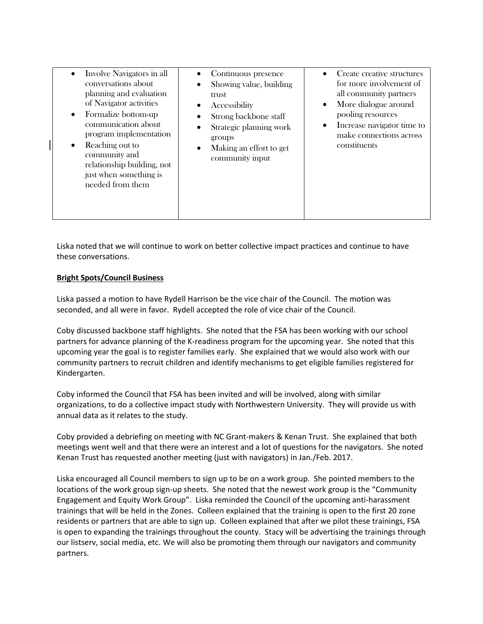| Involve Navigators in all<br>conversations about<br>planning and evaluation<br>of Navigator activities<br>Formalize bottom-up<br>$\bullet$<br>communication about<br>program implementation<br>Reaching out to<br>$\bullet$<br>community and<br>relationship building, not<br>just when something is<br>needed from them | Continuous presence<br>Showing value, building<br>trust.<br>Accessibility<br>Strong backbone staff<br>Strategic planning work<br>groups<br>Making an effort to get<br>community input | Create creative structures<br>$\bullet$<br>for more involvement of<br>all community partners<br>More dialogue around<br>٠<br>pooling resources<br>Increase navigator time to<br>$\bullet$<br>make connections across<br>constituents |
|--------------------------------------------------------------------------------------------------------------------------------------------------------------------------------------------------------------------------------------------------------------------------------------------------------------------------|---------------------------------------------------------------------------------------------------------------------------------------------------------------------------------------|--------------------------------------------------------------------------------------------------------------------------------------------------------------------------------------------------------------------------------------|
|--------------------------------------------------------------------------------------------------------------------------------------------------------------------------------------------------------------------------------------------------------------------------------------------------------------------------|---------------------------------------------------------------------------------------------------------------------------------------------------------------------------------------|--------------------------------------------------------------------------------------------------------------------------------------------------------------------------------------------------------------------------------------|

Liska noted that we will continue to work on better collective impact practices and continue to have these conversations.

## **Bright Spots/Council Business**

Liska passed a motion to have Rydell Harrison be the vice chair of the Council. The motion was seconded, and all were in favor. Rydell accepted the role of vice chair of the Council.

Coby discussed backbone staff highlights. She noted that the FSA has been working with our school partners for advance planning of the K-readiness program for the upcoming year. She noted that this upcoming year the goal is to register families early. She explained that we would also work with our community partners to recruit children and identify mechanisms to get eligible families registered for Kindergarten.

Coby informed the Council that FSA has been invited and will be involved, along with similar organizations, to do a collective impact study with Northwestern University. They will provide us with annual data as it relates to the study.

Coby provided a debriefing on meeting with NC Grant-makers & Kenan Trust. She explained that both meetings went well and that there were an interest and a lot of questions for the navigators. She noted Kenan Trust has requested another meeting (just with navigators) in Jan./Feb. 2017.

Liska encouraged all Council members to sign up to be on a work group. She pointed members to the locations of the work group sign-up sheets. She noted that the newest work group is the "Community Engagement and Equity Work Group". Liska reminded the Council of the upcoming anti-harassment trainings that will be held in the Zones. Colleen explained that the training is open to the first 20 zone residents or partners that are able to sign up. Colleen explained that after we pilot these trainings, FSA is open to expanding the trainings throughout the county. Stacy will be advertising the trainings through our listserv, social media, etc. We will also be promoting them through our navigators and community partners.